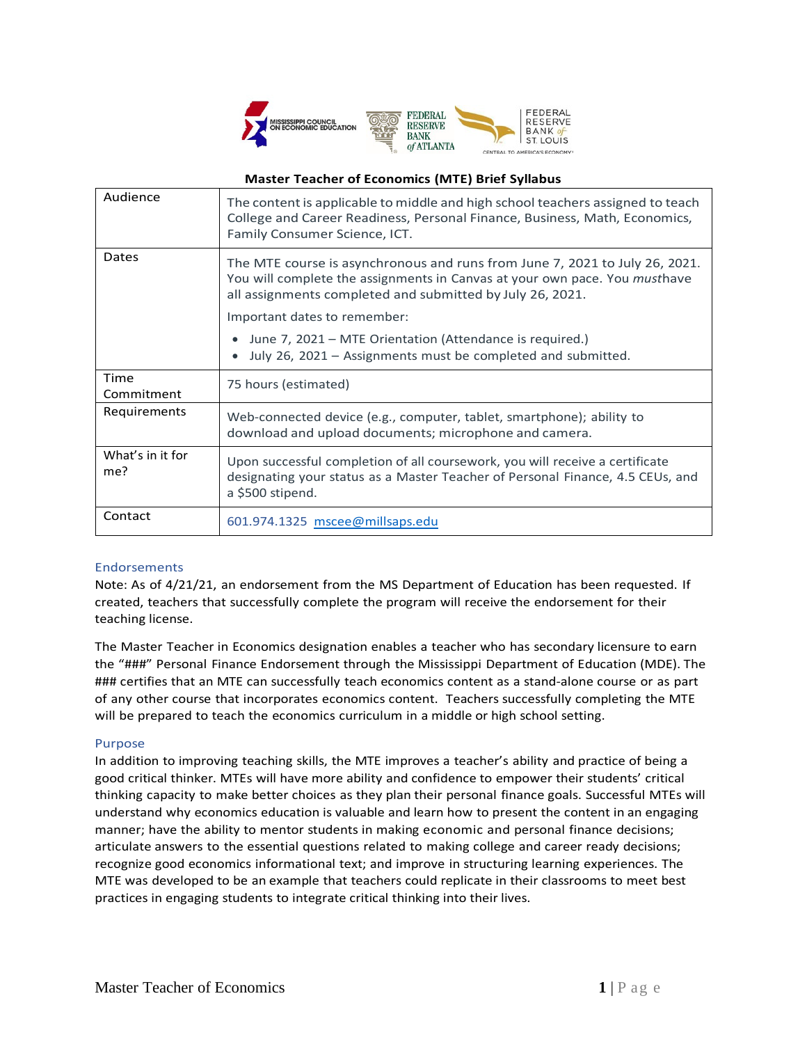

# **Master Teacher of Economics (MTE) Brief Syllabus**

| Audience                | The content is applicable to middle and high school teachers assigned to teach<br>College and Career Readiness, Personal Finance, Business, Math, Economics,<br>Family Consumer Science, ICT.                                 |
|-------------------------|-------------------------------------------------------------------------------------------------------------------------------------------------------------------------------------------------------------------------------|
| Dates                   | The MTE course is asynchronous and runs from June 7, 2021 to July 26, 2021.<br>You will complete the assignments in Canvas at your own pace. You <i>musthave</i><br>all assignments completed and submitted by July 26, 2021. |
|                         | Important dates to remember:                                                                                                                                                                                                  |
|                         | June 7, 2021 – MTE Orientation (Attendance is required.)<br>July 26, 2021 - Assignments must be completed and submitted.                                                                                                      |
| Time<br>Commitment      | 75 hours (estimated)                                                                                                                                                                                                          |
| Requirements            | Web-connected device (e.g., computer, tablet, smartphone); ability to<br>download and upload documents; microphone and camera.                                                                                                |
| What's in it for<br>me? | Upon successful completion of all coursework, you will receive a certificate<br>designating your status as a Master Teacher of Personal Finance, 4.5 CEUs, and<br>a \$500 stipend.                                            |
| Contact                 | 601.974.1325 mscee@millsaps.edu                                                                                                                                                                                               |

# Endorsements

Note: As of 4/21/21, an endorsement from the MS Department of Education has been requested. If created, teachers that successfully complete the program will receive the endorsement for their teaching license.

The Master Teacher in Economics designation enables a teacher who has secondary licensure to earn the "###" Personal Finance Endorsement through the Mississippi Department of Education (MDE). The ### certifies that an MTE can successfully teach economics content as a stand-alone course or as part of any other course that incorporates economics content. Teachers successfully completing the MTE will be prepared to teach the economics curriculum in a middle or high school setting.

### Purpose

In addition to improving teaching skills, the MTE improves a teacher's ability and practice of being a good critical thinker. MTEs will have more ability and confidence to empower their students' critical thinking capacity to make better choices as they plan their personal finance goals. Successful MTEs will understand why economics education is valuable and learn how to present the content in an engaging manner; have the ability to mentor students in making economic and personal finance decisions; articulate answers to the essential questions related to making college and career ready decisions; recognize good economics informational text; and improve in structuring learning experiences. The MTE was developed to be an example that teachers could replicate in their classrooms to meet best practices in engaging students to integrate critical thinking into their lives.